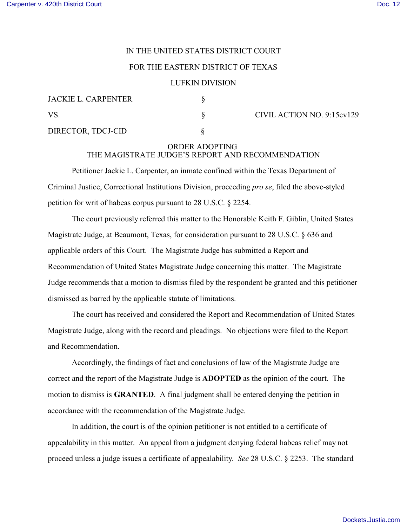## IN THE UNITED STATES DISTRICT COURT

## FOR THE EASTERN DISTRICT OF TEXAS

## LUFKIN DIVISION

| JACKIE L. CARPENTER |  |
|---------------------|--|
| VS.                 |  |
| DIRECTOR, TDCJ-CID  |  |

 $\S$  CIVIL ACTION NO. 9:15cv129

## ORDER ADOPTING THE MAGISTRATE JUDGE'S REPORT AND RECOMMENDATION

Petitioner Jackie L. Carpenter, an inmate confined within the Texas Department of Criminal Justice, Correctional Institutions Division, proceeding *pro se*, filed the above-styled petition for writ of habeas corpus pursuant to 28 U.S.C. § 2254.

The court previously referred this matter to the Honorable Keith F. Giblin, United States Magistrate Judge, at Beaumont, Texas, for consideration pursuant to 28 U.S.C. § 636 and applicable orders of this Court. The Magistrate Judge has submitted a Report and Recommendation of United States Magistrate Judge concerning this matter. The Magistrate Judge recommends that a motion to dismiss filed by the respondent be granted and this petitioner dismissed as barred by the applicable statute of limitations.

The court has received and considered the Report and Recommendation of United States Magistrate Judge, along with the record and pleadings. No objections were filed to the Report and Recommendation.

Accordingly, the findings of fact and conclusions of law of the Magistrate Judge are correct and the report of the Magistrate Judge is **ADOPTED** as the opinion of the court. The motion to dismiss is **GRANTED**. A final judgment shall be entered denying the petition in accordance with the recommendation of the Magistrate Judge.

In addition, the court is of the opinion petitioner is not entitled to a certificate of appealability in this matter. An appeal from a judgment denying federal habeas relief may not proceed unless a judge issues a certificate of appealability. *See* 28 U.S.C. § 2253. The standard